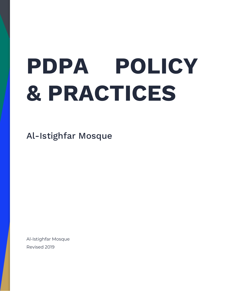# **PDPA POLICY & PRACTICES**

Al-Istighfar Mosque

Al-Istighfar Mosque Revised 2019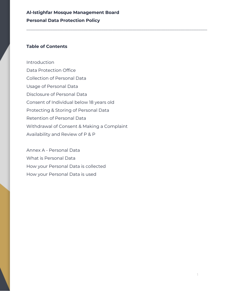\_\_\_\_\_\_\_\_\_\_\_\_\_\_\_\_\_\_\_\_\_\_\_\_\_\_\_\_\_\_\_\_\_\_\_\_\_\_\_\_\_\_\_\_\_\_\_\_\_\_\_\_\_\_\_\_\_\_\_\_\_\_\_\_\_\_\_\_\_\_\_\_\_\_\_\_\_\_\_\_\_\_

#### **Table of Contents**

Introduction Data Protection Office Collection of Personal Data Usage of Personal Data Disclosure of Personal Data Consent of Individual below 18 years old Protecting & Storing of Personal Data Retention of Personal Data Withdrawal of Consent & Making a Complaint Availability and Review of P & P

Annex A - Personal Data What is Personal Data How your Personal Data is collected How your Personal Data is used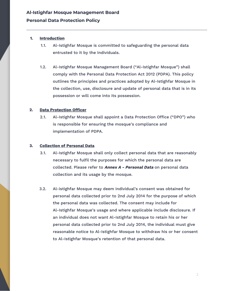#### **1. Introduction**

1.1. Al-Istighfar Mosque is committed to safeguarding the personal data entrusted to it by the Individuals.

\_\_\_\_\_\_\_\_\_\_\_\_\_\_\_\_\_\_\_\_\_\_\_\_\_\_\_\_\_\_\_\_\_\_\_\_\_\_\_\_\_\_\_\_\_\_\_\_\_\_\_\_\_\_\_\_\_\_\_\_\_\_\_\_\_\_\_\_\_\_\_\_\_\_\_\_\_\_\_\_\_\_

1.2. Al-Istighfar Mosque Management Board ("Al-Istighfar Mosque") shall comply with the Personal Data Protection Act 2012 (PDPA). This policy outlines the principles and practices adopted by Al-Istighfar Mosque in the collection, use, disclosure and update of personal data that is in its possession or will come into its possession.

#### **2. Data Protection Officer**

2.1. Al-Istighfar Mosque shall appoint a Data Protection Office ("DPO") who is responsible for ensuring the mosque's compliance and implementation of PDPA.

#### **3. Collection of Personal Data**

- 3.1. Al-Istighfar Mosque shall only collect personal data that are reasonably necessary to fulfil the purposes for which the personal data are collected. Please refer to **Annex <sup>A</sup> - Personal Data** on personal data collection and its usage by the mosque.
- 3.2. Al-istighfar Mosque may deem individual's consent was obtained for personal data collected prior to 2nd July 2014 for the purpose of which the personal data was collected. The consent may include for Al-Istighfar Mosque's usage and where applicable include disclosure. If an individual does not want Al-Istighfar Mosque to retain his or her personal data collected prior to 2nd July 2014, the individual must give reasonable notice to Al-Istighfar Mosque to withdraw his or her consent to Al-Istighfar Mosque's retention of that personal data.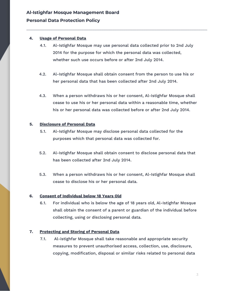#### **4. Usage of Personal Data**

4.1. Al-Istighfar Mosque may use personal data collected prior to 2nd July 2014 for the purpose for which the personal data was collected, whether such use occurs before or after 2nd July 2014.

\_\_\_\_\_\_\_\_\_\_\_\_\_\_\_\_\_\_\_\_\_\_\_\_\_\_\_\_\_\_\_\_\_\_\_\_\_\_\_\_\_\_\_\_\_\_\_\_\_\_\_\_\_\_\_\_\_\_\_\_\_\_\_\_\_\_\_\_\_\_\_\_\_\_\_\_\_\_\_\_\_\_

- 4.2. Al-Istighfar Mosque shall obtain consent from the person to use his or her personal data that has been collected after 2nd July 2014.
- 4.3. When a person withdraws his or her consent, Al-Istighfar Mosque shall cease to use his or her personal data within a reasonable time, whether his or her personal data was collected before or after 2nd July 2014.

#### **5. Disclosure of Personal Data**

- 5.1. Al-Istighfar Mosque may disclose personal data collected for the purposes which that personal data was collected for.
- 5.2. Al-Istighfar Mosque shall obtain consent to disclose personal data that has been collected after 2nd July 2014.
- 5.3. When a person withdraws his or her consent, Al-Istighfar Mosque shall cease to disclose his or her personal data.

#### **6. Consent of Individual below 18 Years Old**

6.1. For individual who is below the age of 18 years old, Al-Istighfar Mosque shall obtain the consent of a parent or guardian of the individual before collecting, using or disclosing personal data.

#### **7. Protecting and Storing of Personal Data**

7.1. Al-istighfar Mosque shall take reasonable and appropriate security measures to prevent unauthorised access, collection, use, disclosure, copying, modification, disposal or similar risks related to personal data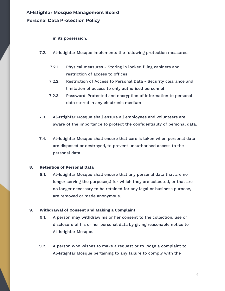in its possession.

7.2. Al-Istighfar Mosque implements the following protection measures:

\_\_\_\_\_\_\_\_\_\_\_\_\_\_\_\_\_\_\_\_\_\_\_\_\_\_\_\_\_\_\_\_\_\_\_\_\_\_\_\_\_\_\_\_\_\_\_\_\_\_\_\_\_\_\_\_\_\_\_\_\_\_\_\_\_\_\_\_\_\_\_\_\_\_\_\_\_\_\_\_\_\_

- 7.2.1. Physical measures Storing in locked filing cabinets and restriction of access to offices
- 7.2.2. Restriction of Access to Personal Data Security clearance and limitation of access to only authorised personnel
- 7.2.3. Password-Protected and encryption of information to personal data stored in any electronic medium
- 7.3. Al-Istighfar Mosque shall ensure all employees and volunteers are aware of the importance to protect the confidentiality of personal data.
- 7.4. Al-Istighfar Mosque shall ensure that care is taken when personal data are disposed or destroyed, to prevent unauthorised access to the personal data.

#### **8. Retention of Personal Data**

8.1. Al-Istighfar Mosque shall ensure that any personal data that are no longer serving the purpose(s) for which they are collected, or that are no longer necessary to be retained for any legal or business purpose, are removed or made anonymous.

#### **9. Withdrawal of Consent and Making a Complaint**

- 9.1. A person may withdraw his or her consent to the collection, use or disclosure of his or her personal data by giving reasonable notice to Al-Istighfar Mosque.
- 9.2. A person who wishes to make a request or to lodge a complaint to Al-Istighfar Mosque pertaining to any failure to comply with the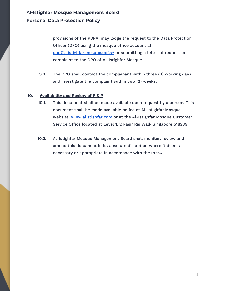provisions of the PDPA, may lodge the request to the Data Protection Officer (DPO) using the mosque office account at [dpo@alistighfar.mosque.org.sg](mailto:dpo@alistighfar.mosque.org.sg) or submitting a letter of request or complaint to the DPO of Al-Istighfar Mosque.

\_\_\_\_\_\_\_\_\_\_\_\_\_\_\_\_\_\_\_\_\_\_\_\_\_\_\_\_\_\_\_\_\_\_\_\_\_\_\_\_\_\_\_\_\_\_\_\_\_\_\_\_\_\_\_\_\_\_\_\_\_\_\_\_\_\_\_\_\_\_\_\_\_\_\_\_\_\_\_\_\_\_

9.3. The DPO shall contact the complainant within three (3) working days and investigate the complaint within two (2) weeks.

#### **10. Availability and Review of P & P**

- 10.1. This document shall be made available upon request by a person. This document shall be made available online at Al-Istighfar Mosque website, [www.alistighfar.com](http://www.alistighfar.com/) or at the Al-Istighfar Mosque Customer Service Office located at Level 1, 2 Pasir Ris Walk Singapore 518239.
- 10.2. Al-Istighfar Mosque Management Board shall monitor, review and amend this document in its absolute discretion where it deems necessary or appropriate in accordance with the PDPA.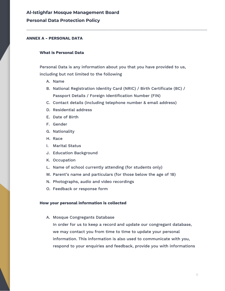### **Al-Istighfar Mosque Management Board**

#### **Personal Data Protection Policy**

#### **ANNEX A - PERSONAL DATA**

#### **What is Personal Data**

Personal Data is any information about you that you have provided to us, including but not limited to the following

\_\_\_\_\_\_\_\_\_\_\_\_\_\_\_\_\_\_\_\_\_\_\_\_\_\_\_\_\_\_\_\_\_\_\_\_\_\_\_\_\_\_\_\_\_\_\_\_\_\_\_\_\_\_\_\_\_\_\_\_\_\_\_\_\_\_\_\_\_\_\_\_\_\_\_\_\_\_\_\_\_\_

- A. Name
- B. National Registration Identity Card (NRIC) / Birth Certificate (BC) / Passport Details / Foreign Identification Number (FIN)
- C. Contact details (including telephone number & email address)
- D. Residential address
- E. Date of Birth
- F. Gender
- G. Nationality
- H. Race
- I. Marital Status
- J. Education Background
- K. Occupation
- L. Name of school currently attending (for students only)
- M. Parent's name and particulars (for those below the age of 18)
- N. Photographs, audio and video recordings
- O. Feedback or response form

#### **How your personal information is collected**

A. Mosque Congregants Database

In order for us to keep a record and update our congregant database, we may contact you from time to time to update your personal information. This information is also used to communicate with you, respond to your enquiries and feedback, provide you with informations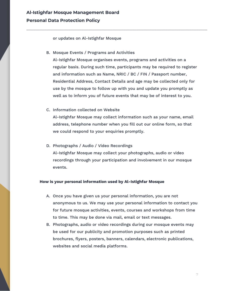or updates on Al-Istighfar Mosque

B. Mosque Events / Programs and Activities

Al-Istighfar Mosque organises events, programs and activities on a regular basis. During such time, participants may be required to register and information such as Name, NRIC / BC / FIN / Passport number, Residential Address, Contact Details and age may be collected only for use by the mosque to follow up with you and update you promptly as well as to inform you of future events that may be of interest to you.

\_\_\_\_\_\_\_\_\_\_\_\_\_\_\_\_\_\_\_\_\_\_\_\_\_\_\_\_\_\_\_\_\_\_\_\_\_\_\_\_\_\_\_\_\_\_\_\_\_\_\_\_\_\_\_\_\_\_\_\_\_\_\_\_\_\_\_\_\_\_\_\_\_\_\_\_\_\_\_\_\_\_

C. Information collected on Website

Al-Istighfar Mosque may collect information such as your name, email address, telephone number when you fill out our online form, so that we could respond to your enquiries promptly.

D. Photographs / Audio / Video Recordings Al-Istighfar Mosque may collect your photographs, audio or video recordings through your participation and involvement in our mosque events.

#### **How is your personal information used by Al-Istighfar Mosque**

- A. Once you have given us your personal information, you are not anonymous to us. We may use your personal information to contact you for future mosque activities, events, courses and workshops from time to time. This may be done via mail, email or text messages.
- B. Photographs, audio or video recordings during our mosque events may be used for our publicity and promotion purposes such as printed brochures, flyers, posters, banners, calendars, electronic publications, websites and social media platforms.